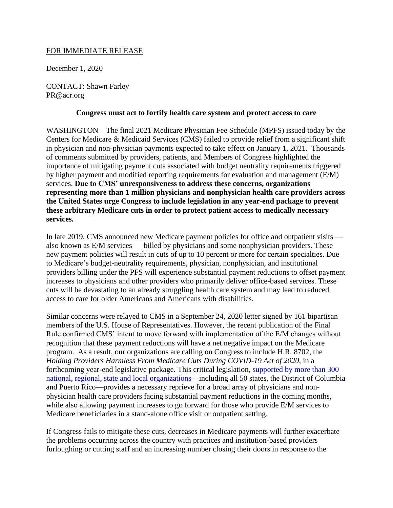## FOR IMMEDIATE RELEASE

December 1, 2020

CONTACT: Shawn Farley PR@acr.org

## **Congress must act to fortify health care system and protect access to care**

WASHINGTON—The final 2021 Medicare Physician Fee Schedule (MPFS) issued today by the Centers for Medicare & Medicaid Services (CMS) failed to provide relief from a significant shift in physician and non-physician payments expected to take effect on January 1, 2021. Thousands of comments submitted by providers, patients, and Members of Congress highlighted the importance of mitigating payment cuts associated with budget neutrality requirements triggered by higher payment and modified reporting requirements for evaluation and management (E/M) services. **Due to CMS' unresponsiveness to address these concerns, organizations representing more than 1 million physicians and nonphysician health care providers across the United States urge Congress to include legislation in any year-end package to prevent these arbitrary Medicare cuts in order to protect patient access to medically necessary services.** 

In late 2019, CMS announced new Medicare payment policies for office and outpatient visits also known as E/M services — billed by physicians and some nonphysician providers. These new payment policies will result in cuts of up to 10 percent or more for certain specialties. Due to Medicare's budget-neutrality requirements, physician, nonphysician, and institutional providers billing under the PFS will experience substantial payment reductions to offset payment increases to physicians and other providers who primarily deliver office-based services. These cuts will be devastating to an already struggling health care system and may lead to reduced access to care for older Americans and Americans with disabilities.

Similar concerns were relayed to CMS in a September 24, 2020 letter signed by 161 bipartisan members of the U.S. House of Representatives. However, the recent publication of the Final Rule confirmed CMS' intent to move forward with implementation of the E/M changes without recognition that these payment reductions will have a net negative impact on the Medicare program. As a result, our organizations are calling on Congress to include H.R. 8702, the *Holding Providers Harmless From Medicare Cuts During COVID-19 Act of 2020*, in a forthcoming year-end legislative package. This critical legislation, [supported by more than 300](https://www.acr.org/-/media/ACR/Files/Advocacy/HR-8702-Supporting-Organizations-120120.pdf)  [national, regional, state and local organizations—](https://www.acr.org/-/media/ACR/Files/Advocacy/HR-8702-Supporting-Organizations-120120.pdf)including all 50 states, the District of Columbia and Puerto Rico—provides a necessary reprieve for a broad array of physicians and nonphysician health care providers facing substantial payment reductions in the coming months, while also allowing payment increases to go forward for those who provide E/M services to Medicare beneficiaries in a stand-alone office visit or outpatient setting.

If Congress fails to mitigate these cuts, decreases in Medicare payments will further exacerbate the problems occurring across the country with practices and institution-based providers furloughing or cutting staff and an increasing number closing their doors in response to the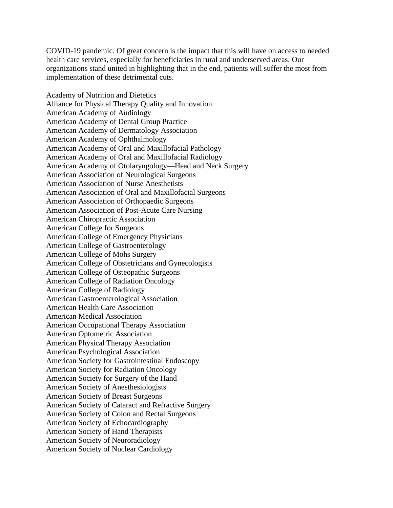COVID-19 pandemic. Of great concern is the impact that this will have on access to needed health care services, especially for beneficiaries in rural and underserved areas. Our organizations stand united in highlighting that in the end, patients will suffer the most from implementation of these detrimental cuts.

Academy of Nutrition and Dietetics Alliance for Physical Therapy Quality and Innovation American Academy of Audiology American Academy of Dental Group Practice American Academy of Dermatology Association American Academy of Ophthalmology American Academy of Oral and Maxillofacial Pathology American Academy of Oral and Maxillofacial Radiology American Academy of Otolaryngology—Head and Neck Surgery American Association of Neurological Surgeons American Association of Nurse Anesthetists American Association of Oral and Maxillofacial Surgeons American Association of Orthopaedic Surgeons American Association of Post-Acute Care Nursing American Chiropractic Association American College for Surgeons American College of Emergency Physicians American College of Gastroenterology American College of Mohs Surgery American College of Obstetricians and Gynecologists American College of Osteopathic Surgeons American College of Radiation Oncology American College of Radiology American Gastroenterological Association American Health Care Association American Medical Association American Occupational Therapy Association American Optometric Association American Physical Therapy Association American Psychological Association American Society for Gastrointestinal Endoscopy American Society for Radiation Oncology American Society for Surgery of the Hand American Society of Anesthesiologists American Society of Breast Surgeons American Society of Cataract and Refractive Surgery American Society of Colon and Rectal Surgeons American Society of Echocardiography American Society of Hand Therapists American Society of Neuroradiology American Society of Nuclear Cardiology